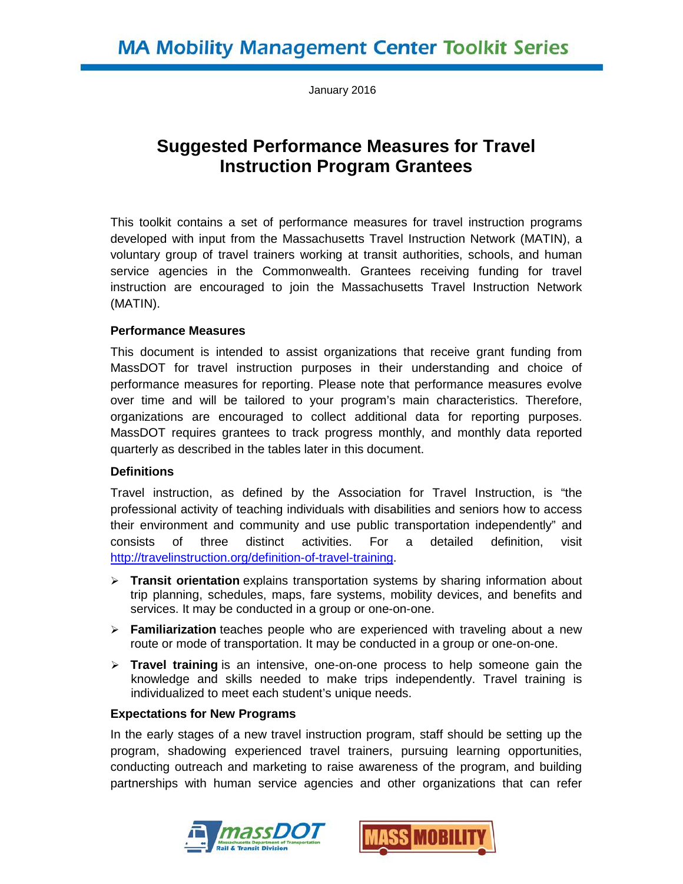# **MA Mobility Management Center Toolkit Series**

January 2016

# **Suggested Performance Measures for Travel Instruction Program Grantees**

This toolkit contains a set of performance measures for travel instruction programs developed with input from the Massachusetts Travel Instruction Network (MATIN), a voluntary group of travel trainers working at transit authorities, schools, and human service agencies in the Commonwealth. Grantees receiving funding for travel instruction are encouraged to join the Massachusetts Travel Instruction Network (MATIN).

#### **Performance Measures**

This document is intended to assist organizations that receive grant funding from MassDOT for travel instruction purposes in their understanding and choice of performance measures for reporting. Please note that performance measures evolve over time and will be tailored to your program's main characteristics. Therefore, organizations are encouraged to collect additional data for reporting purposes. MassDOT requires grantees to track progress monthly, and monthly data reported quarterly as described in the tables later in this document.

#### **Definitions**

Travel instruction, as defined by the Association for Travel Instruction, is "the professional activity of teaching individuals with disabilities and seniors how to access their environment and community and use public transportation independently" and consists of three distinct activities. For a detailed definition, visit [http://travelinstruction.org/definition-of-travel-training.](http://travelinstruction.org/definition-of-travel-training)

- **Transit orientation** explains transportation systems by sharing information about trip planning, schedules, maps, fare systems, mobility devices, and benefits and services. It may be conducted in a group or one-on-one.
- **Familiarization** teaches people who are experienced with traveling about a new route or mode of transportation. It may be conducted in a group or one-on-one.
- **Travel training** is an intensive, one-on-one process to help someone gain the knowledge and skills needed to make trips independently. Travel training is individualized to meet each student's unique needs.

#### **Expectations for New Programs**

In the early stages of a new travel instruction program, staff should be setting up the program, shadowing experienced travel trainers, pursuing learning opportunities, conducting outreach and marketing to raise awareness of the program, and building partnerships with human service agencies and other organizations that can refer



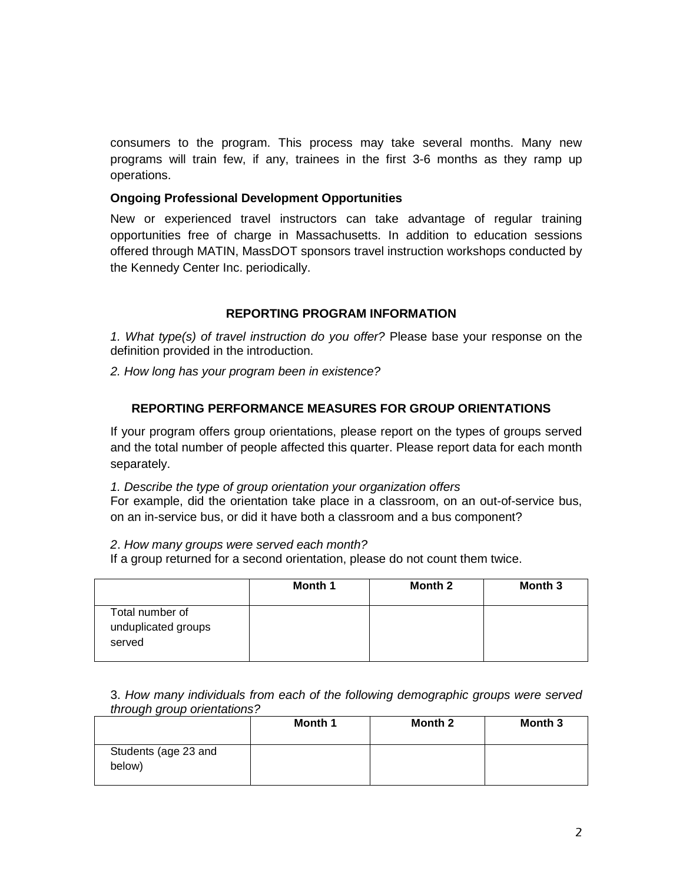consumers to the program. This process may take several months. Many new programs will train few, if any, trainees in the first 3-6 months as they ramp up operations.

### **Ongoing Professional Development Opportunities**

New or experienced travel instructors can take advantage of regular training opportunities free of charge in Massachusetts. In addition to education sessions offered through MATIN, MassDOT sponsors travel instruction workshops conducted by the Kennedy Center Inc. periodically.

# **REPORTING PROGRAM INFORMATION**

*1. What type(s) of travel instruction do you offer?* Please base your response on the definition provided in the introduction.

*2. How long has your program been in existence?*

# **REPORTING PERFORMANCE MEASURES FOR GROUP ORIENTATIONS**

If your program offers group orientations, please report on the types of groups served and the total number of people affected this quarter. Please report data for each month separately.

*1. Describe the type of group orientation your organization offers*

For example, did the orientation take place in a classroom, on an out-of-service bus, on an in-service bus, or did it have both a classroom and a bus component?

*2*. *How many groups were served each month?*

If a group returned for a second orientation, please do not count them twice.

|                                                  | Month 1 | Month 2 | Month 3 |
|--------------------------------------------------|---------|---------|---------|
| Total number of<br>unduplicated groups<br>served |         |         |         |

3. *How many individuals from each of the following demographic groups were served through group orientations?*

|                                | Month 1 | Month 2 | Month 3 |
|--------------------------------|---------|---------|---------|
| Students (age 23 and<br>below) |         |         |         |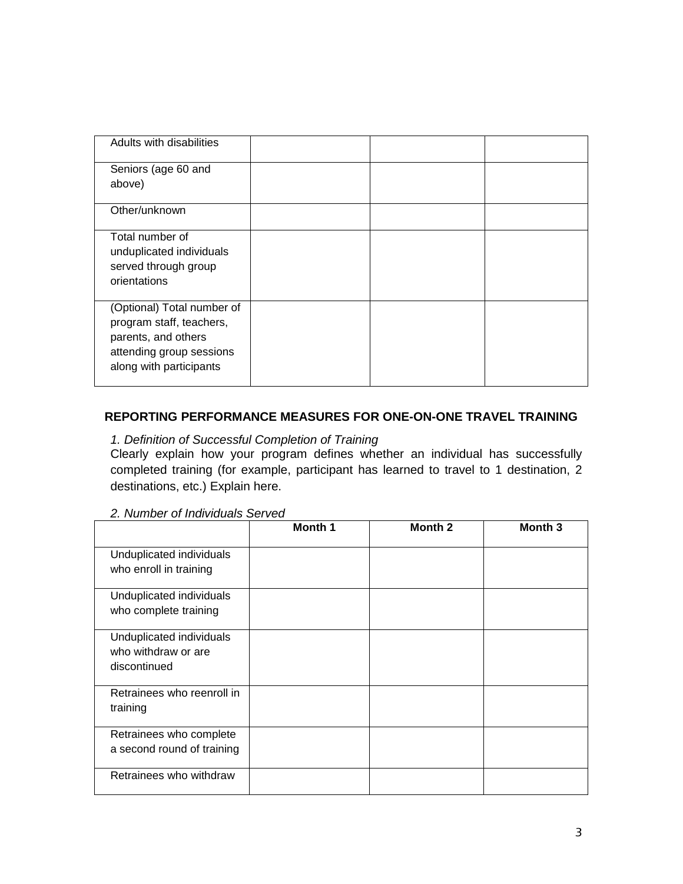| Adults with disabilities                                                                                                             |  |  |
|--------------------------------------------------------------------------------------------------------------------------------------|--|--|
| Seniors (age 60 and<br>above)                                                                                                        |  |  |
| Other/unknown                                                                                                                        |  |  |
| Total number of<br>unduplicated individuals<br>served through group<br>orientations                                                  |  |  |
| (Optional) Total number of<br>program staff, teachers,<br>parents, and others<br>attending group sessions<br>along with participants |  |  |

# **REPORTING PERFORMANCE MEASURES FOR ONE-ON-ONE TRAVEL TRAINING**

# *1. Definition of Successful Completion of Training*

Clearly explain how your program defines whether an individual has successfully completed training (for example, participant has learned to travel to 1 destination, 2 destinations, etc.) Explain here.

#### *2. Number of Individuals Served*

|                                                                 | <b>Month 1</b> | Month 2 | Month 3 |
|-----------------------------------------------------------------|----------------|---------|---------|
| Unduplicated individuals<br>who enroll in training              |                |         |         |
| Unduplicated individuals<br>who complete training               |                |         |         |
| Unduplicated individuals<br>who withdraw or are<br>discontinued |                |         |         |
| Retrainees who reenroll in<br>training                          |                |         |         |
| Retrainees who complete<br>a second round of training           |                |         |         |
| Retrainees who withdraw                                         |                |         |         |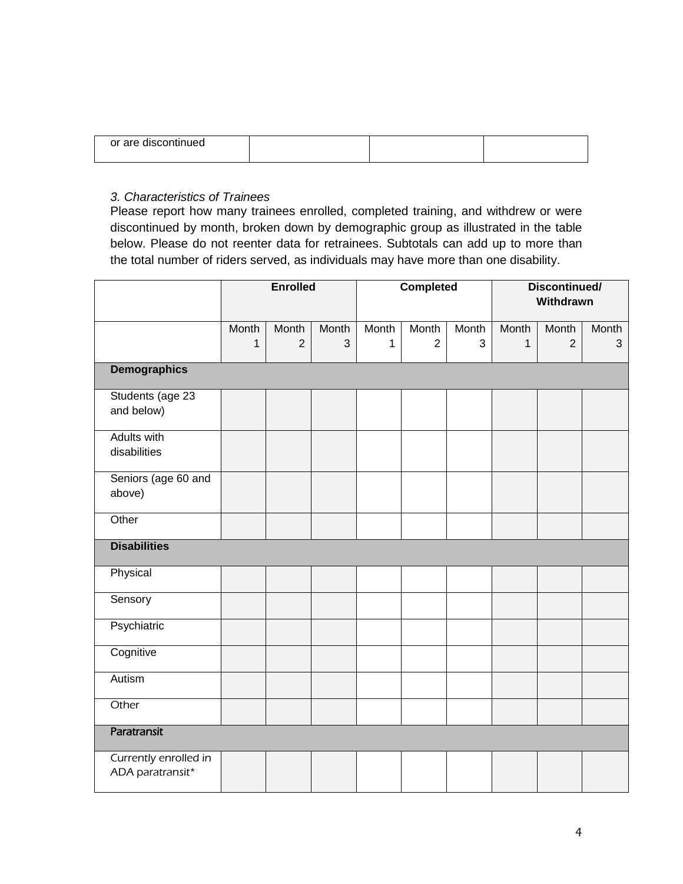| or are discontinued |  |  |
|---------------------|--|--|
|                     |  |  |

#### *3. Characteristics of Trainees*

Please report how many trainees enrolled, completed training, and withdrew or were discontinued by month, broken down by demographic group as illustrated in the table below. Please do not reenter data for retrainees. Subtotals can add up to more than the total number of riders served, as individuals may have more than one disability.

|                                           |              | <b>Enrolled</b> |       | <b>Completed</b> |                | Discontinued/<br>Withdrawn |              |                |       |
|-------------------------------------------|--------------|-----------------|-------|------------------|----------------|----------------------------|--------------|----------------|-------|
|                                           | Month        | Month           | Month | Month            | Month          | Month                      | Month        | Month          | Month |
|                                           | $\mathbf{1}$ | $\overline{2}$  | 3     | $\mathbf{1}$     | $\overline{2}$ | 3                          | $\mathbf{1}$ | $\overline{2}$ | 3     |
|                                           |              |                 |       |                  |                |                            |              |                |       |
| <b>Demographics</b>                       |              |                 |       |                  |                |                            |              |                |       |
| Students (age 23<br>and below)            |              |                 |       |                  |                |                            |              |                |       |
| <b>Adults with</b>                        |              |                 |       |                  |                |                            |              |                |       |
| disabilities                              |              |                 |       |                  |                |                            |              |                |       |
| Seniors (age 60 and                       |              |                 |       |                  |                |                            |              |                |       |
| above)                                    |              |                 |       |                  |                |                            |              |                |       |
| Other                                     |              |                 |       |                  |                |                            |              |                |       |
| <b>Disabilities</b>                       |              |                 |       |                  |                |                            |              |                |       |
| Physical                                  |              |                 |       |                  |                |                            |              |                |       |
| Sensory                                   |              |                 |       |                  |                |                            |              |                |       |
| Psychiatric                               |              |                 |       |                  |                |                            |              |                |       |
| Cognitive                                 |              |                 |       |                  |                |                            |              |                |       |
| Autism                                    |              |                 |       |                  |                |                            |              |                |       |
| Other                                     |              |                 |       |                  |                |                            |              |                |       |
| Paratransit                               |              |                 |       |                  |                |                            |              |                |       |
| Currently enrolled in<br>ADA paratransit* |              |                 |       |                  |                |                            |              |                |       |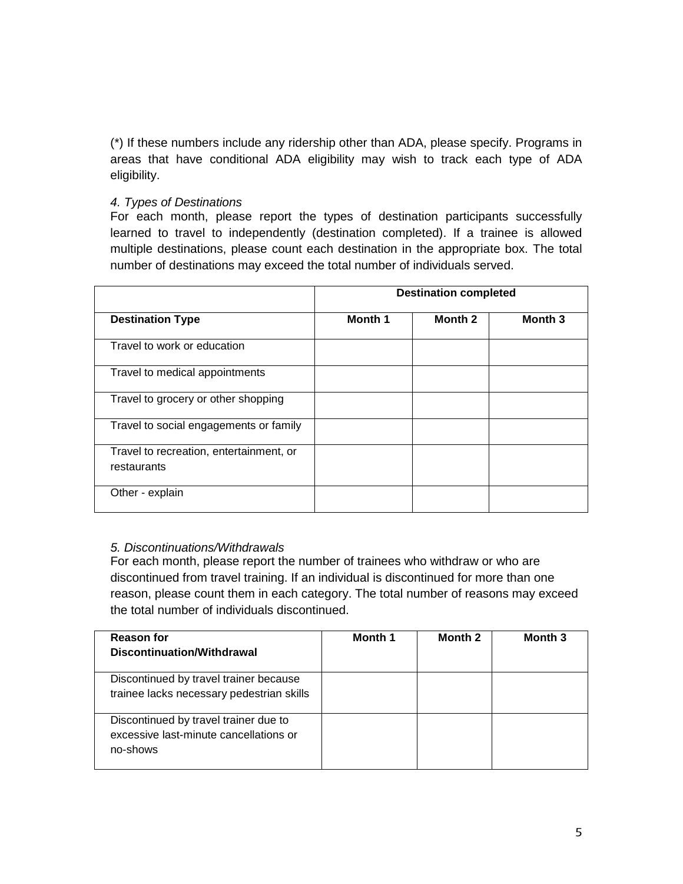(\*) If these numbers include any ridership other than ADA, please specify. Programs in areas that have conditional ADA eligibility may wish to track each type of ADA eligibility.

# *4. Types of Destinations*

For each month, please report the types of destination participants successfully learned to travel to independently (destination completed). If a trainee is allowed multiple destinations, please count each destination in the appropriate box. The total number of destinations may exceed the total number of individuals served.

|                                                        | <b>Destination completed</b> |         |         |  |  |
|--------------------------------------------------------|------------------------------|---------|---------|--|--|
| <b>Destination Type</b>                                | Month 1                      | Month 2 | Month 3 |  |  |
| Travel to work or education                            |                              |         |         |  |  |
| Travel to medical appointments                         |                              |         |         |  |  |
| Travel to grocery or other shopping                    |                              |         |         |  |  |
| Travel to social engagements or family                 |                              |         |         |  |  |
| Travel to recreation, entertainment, or<br>restaurants |                              |         |         |  |  |
| Other - explain                                        |                              |         |         |  |  |

#### *5. Discontinuations/Withdrawals*

For each month, please report the number of trainees who withdraw or who are discontinued from travel training. If an individual is discontinued for more than one reason, please count them in each category. The total number of reasons may exceed the total number of individuals discontinued.

| <b>Reason for</b><br>Discontinuation/Withdrawal                                             | <b>Month 1</b> | Month 2 | Month 3 |
|---------------------------------------------------------------------------------------------|----------------|---------|---------|
| Discontinued by travel trainer because<br>trainee lacks necessary pedestrian skills         |                |         |         |
| Discontinued by travel trainer due to<br>excessive last-minute cancellations or<br>no-shows |                |         |         |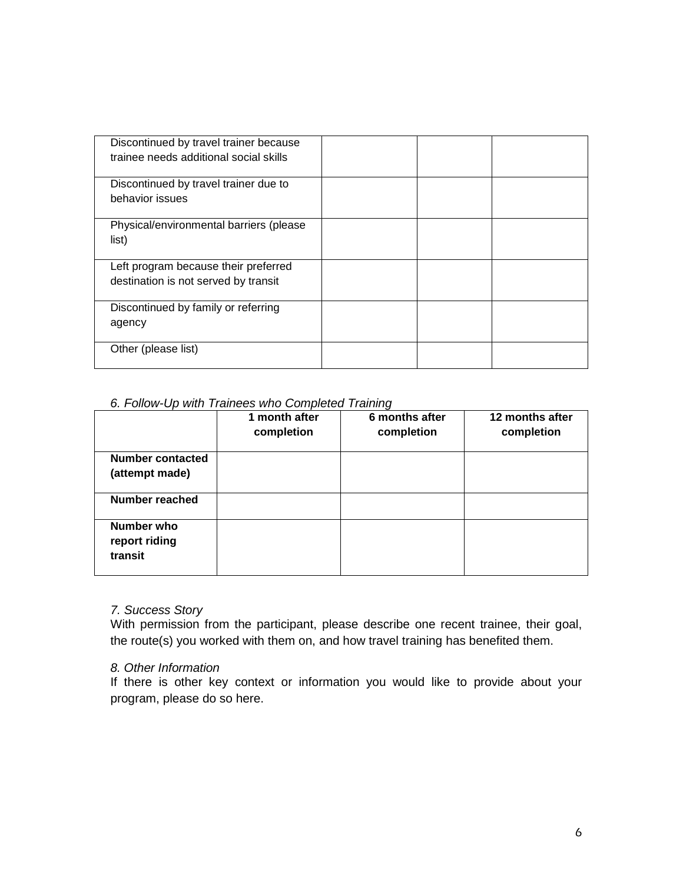| Discontinued by travel trainer because<br>trainee needs additional social skills |  |  |
|----------------------------------------------------------------------------------|--|--|
| Discontinued by travel trainer due to<br>behavior issues                         |  |  |
| Physical/environmental barriers (please<br>list)                                 |  |  |
| Left program because their preferred<br>destination is not served by transit     |  |  |
| Discontinued by family or referring<br>agency                                    |  |  |
| Other (please list)                                                              |  |  |

#### *6. Follow-Up with Trainees who Completed Training*

|                                           | 1 month after<br>completion | 6 months after<br>completion | 12 months after<br>completion |
|-------------------------------------------|-----------------------------|------------------------------|-------------------------------|
| <b>Number contacted</b><br>(attempt made) |                             |                              |                               |
| <b>Number reached</b>                     |                             |                              |                               |
| Number who<br>report riding<br>transit    |                             |                              |                               |

#### *7. Success Story*

With permission from the participant, please describe one recent trainee, their goal, the route(s) you worked with them on, and how travel training has benefited them.

#### *8. Other Information*

If there is other key context or information you would like to provide about your program, please do so here.